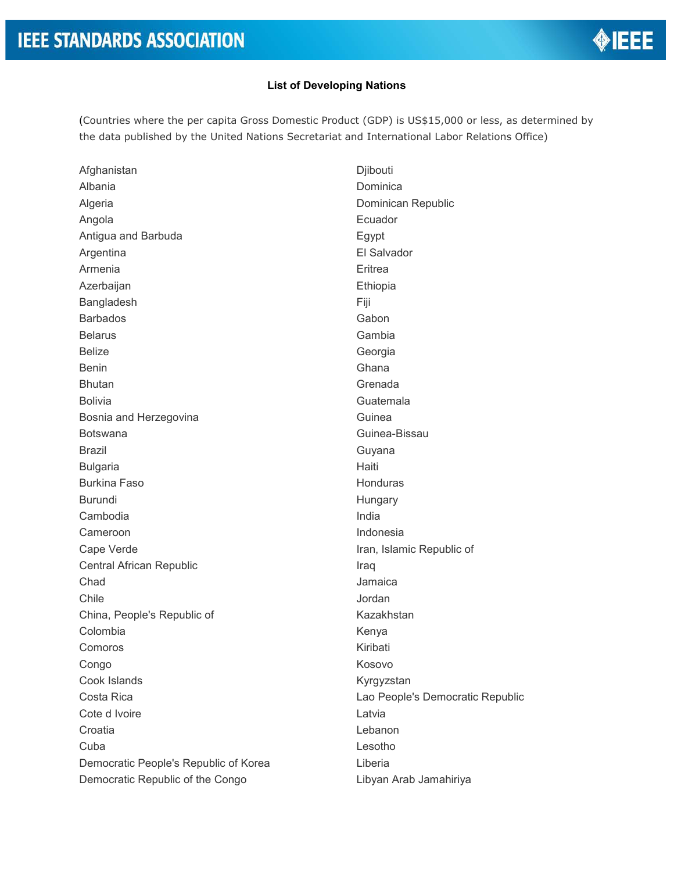## **List of Developing Nations**

(Countries where the per capita Gross Domestic Product (GDP) is US\$15,000 or less, as determined by the data published by the United Nations Secretariat and International Labor Relations Office)

Afghanistan Albania Algeria Angola Antigua and Barbuda Argentina Armenia Azerbaijan Bangladesh Barbados Belarus Belize Benin Bhutan Bolivia Bosnia and Herzegovina Botswana Brazil Bulgaria Burkina Faso Burundi Cambodia Cameroon Cape Verde Central African Republic Chad Chile China, People's Republic of Colombia Comoros Congo Cook Islands Costa Rica Cote d Ivoire **Croatia** Cuba Democratic People's Republic of Korea Democratic Republic of the Congo

Djibouti Dominica Dominican Republic Ecuador Egypt El Salvador **Eritrea** Ethiopia Fiji Gabon Gambia Georgia Ghana Grenada Guatemala Guinea Guinea-Bissau Guyana Haiti **Honduras Hungary** India Indonesia Iran, Islamic Republic of Iraq Jamaica Jordan Kazakhstan Kenya Kiribati Kosovo Kyrgyzstan Lao People's Democratic Republic Latvia Lebanon Lesotho Liberia Libyan Arab Jamahiriya